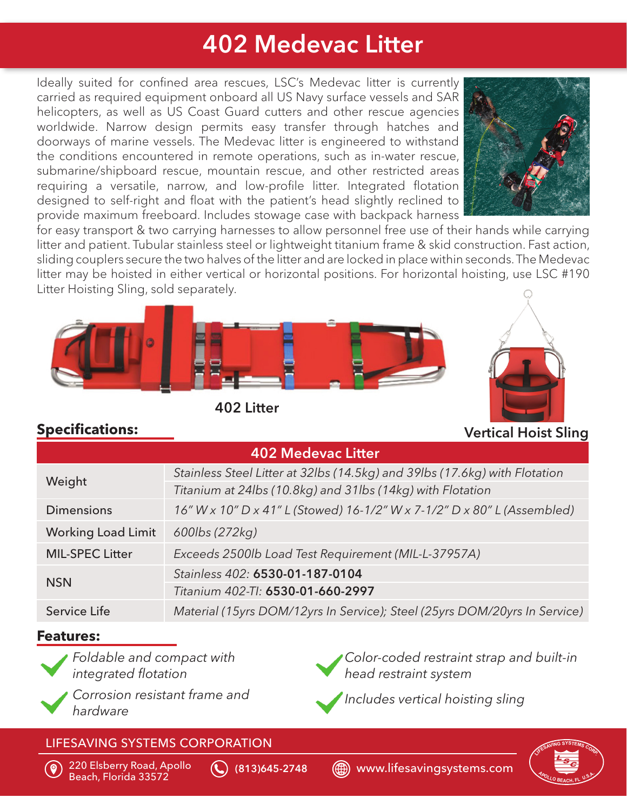# 402 Medevac Litter

Ideally suited for confined area rescues, LSC's Medevac litter is currently carried as required equipment onboard all US Navy surface vessels and SAR helicopters, as well as US Coast Guard cutters and other rescue agencies worldwide. Narrow design permits easy transfer through hatches and doorways of marine vessels. The Medevac litter is engineered to withstand the conditions encountered in remote operations, such as in-water rescue, submarine/shipboard rescue, mountain rescue, and other restricted areas requiring a versatile, narrow, and low-profile litter. Integrated flotation designed to self-right and float with the patient's head slightly reclined to provide maximum freeboard. Includes stowage case with backpack harness



for easy transport & two carrying harnesses to allow personnel free use of their hands while carrying litter and patient. Tubular stainless steel or lightweight titanium frame & skid construction. Fast action, sliding couplers secure the two halves of the litter and are locked in place within seconds. The Medevac litter may be hoisted in either vertical or horizontal positions. For horizontal hoisting, use LSC #190 Litter Hoisting Sling, sold separately.



402 Litter

## Vertical Hoist Sling

### **Specifications:**

| <b>402 Medevac Litter</b> |                                                                            |  |
|---------------------------|----------------------------------------------------------------------------|--|
| Weight                    | Stainless Steel Litter at 32lbs (14.5kg) and 39lbs (17.6kg) with Flotation |  |
|                           | Titanium at 24lbs (10.8kg) and 31lbs (14kg) with Flotation                 |  |
| <b>Dimensions</b>         | 16" W x 10" D x 41" L (Stowed) 16-1/2" W x 7-1/2" D x 80" L (Assembled)    |  |
| <b>Working Load Limit</b> | 600lbs (272kg)                                                             |  |
| <b>MIL-SPEC Litter</b>    | Exceeds 2500lb Load Test Requirement (MIL-L-37957A)                        |  |
| <b>NSN</b>                | Stainless 402: 6530-01-187-0104                                            |  |
|                           | Titanium 402-TI: 6530-01-660-2997                                          |  |
| <b>Service Life</b>       | Material (15yrs DOM/12yrs In Service); Steel (25yrs DOM/20yrs In Service)  |  |
|                           |                                                                            |  |

#### **Features:**



*Foldable and compact with integrated flotation*



*Corrosion resistant frame and Includes vertical hoisting sling hardware*

LIFESAVING SYSTEMS CORPORATION



*Color-coded restraint strap and built-in head restraint system*